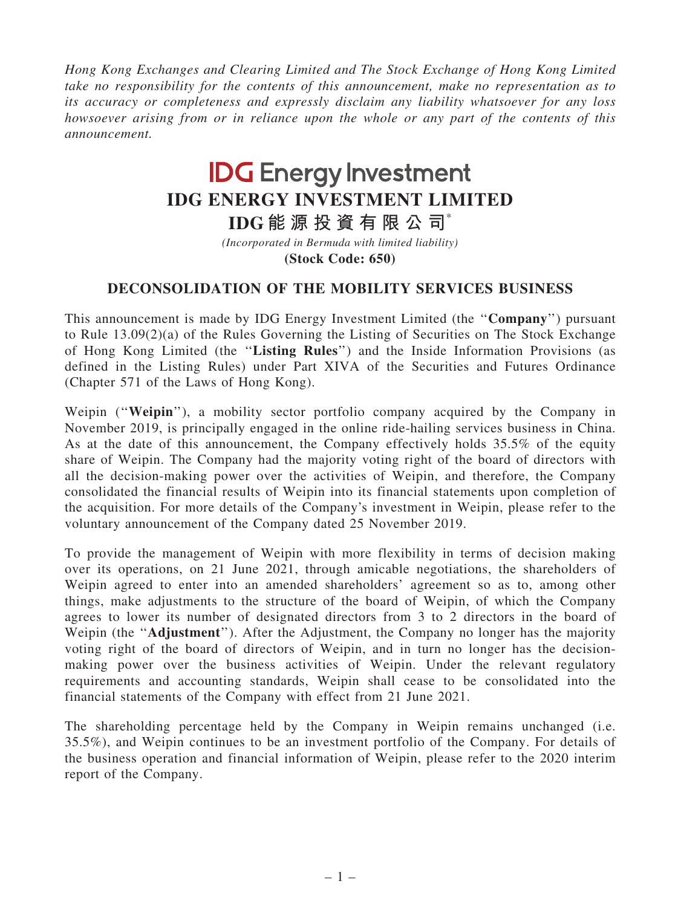Hong Kong Exchanges and Clearing Limited and The Stock Exchange of Hong Kong Limited take no responsibility for the contents of this announcement, make no representation as to its accuracy or completeness and expressly disclaim any liability whatsoever for any loss howsoever arising from or in reliance upon the whole or any part of the contents of this announcement.

## **IDG Energy Investment IDG ENERGY INVESTMENT LIMITED**

**IDG 能 源 投 資 有 限 公 司**\*

*(Incorporated in Bermuda with limited liability)*

**(Stock Code: 650)**

## DECONSOLIDATION OF THE MOBILITY SERVICES BUSINESS

This announcement is made by IDG Energy Investment Limited (the ''Company'') pursuant to Rule 13.09(2)(a) of the Rules Governing the Listing of Securities on The Stock Exchange of Hong Kong Limited (the ''Listing Rules'') and the Inside Information Provisions (as defined in the Listing Rules) under Part XIVA of the Securities and Futures Ordinance (Chapter 571 of the Laws of Hong Kong).

Weipin ("Weipin"), a mobility sector portfolio company acquired by the Company in November 2019, is principally engaged in the online ride-hailing services business in China. As at the date of this announcement, the Company effectively holds 35.5% of the equity share of Weipin. The Company had the majority voting right of the board of directors with all the decision-making power over the activities of Weipin, and therefore, the Company consolidated the financial results of Weipin into its financial statements upon completion of the acquisition. For more details of the Company's investment in Weipin, please refer to the voluntary announcement of the Company dated 25 November 2019.

To provide the management of Weipin with more flexibility in terms of decision making over its operations, on 21 June 2021, through amicable negotiations, the shareholders of Weipin agreed to enter into an amended shareholders' agreement so as to, among other things, make adjustments to the structure of the board of Weipin, of which the Company agrees to lower its number of designated directors from 3 to 2 directors in the board of Weipin (the "Adjustment"). After the Adjustment, the Company no longer has the majority voting right of the board of directors of Weipin, and in turn no longer has the decisionmaking power over the business activities of Weipin. Under the relevant regulatory requirements and accounting standards, Weipin shall cease to be consolidated into the financial statements of the Company with effect from 21 June 2021.

The shareholding percentage held by the Company in Weipin remains unchanged (i.e. 35.5%), and Weipin continues to be an investment portfolio of the Company. For details of the business operation and financial information of Weipin, please refer to the 2020 interim report of the Company.